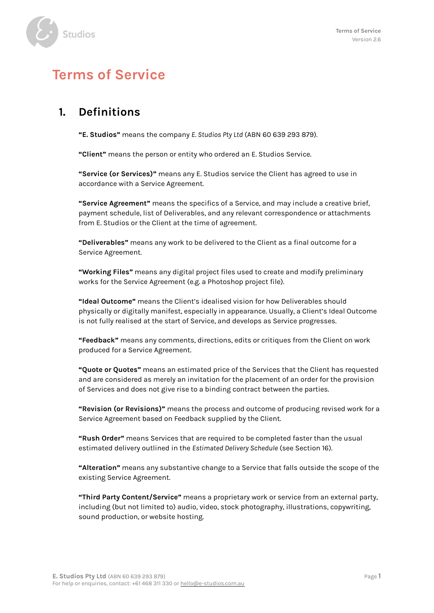

# **Terms of Service**

### **1. Definitions**

**"E. Studios"** means the company *E. Studios Pty Ltd* (ABN 60 639 293 879).

**"Client"** means the person or entity who ordered an E. Studios Service.

**"Service (or Services)"** means any E. Studios service the Client has agreed to use in accordance with a Service Agreement.

**"Service Agreement"** means the specifics of a Service, and may include a creative brief, payment schedule, list of Deliverables, and any relevant correspondence or attachments from E. Studios or the Client at the time of agreement.

**"Deliverables"** means any work to be delivered to the Client as a final outcome for a Service Agreement.

**"Working Files"** means any digital project files used to create and modify preliminary works for the Service Agreement (e.g. a Photoshop project file).

**"Ideal Outcome"** means the Client's idealised vision for how Deliverables should physically or digitally manifest, especially in appearance. Usually, a Client's Ideal Outcome is not fully realised at the start of Service, and develops as Service progresses.

**"Feedback"** means any comments, directions, edits or critiques from the Client on work produced for a Service Agreement.

**"Quote or Quotes"** means an estimated price of the Services that the Client has requested and are considered as merely an invitation for the placement of an order for the provision of Services and does not give rise to a binding contract between the parties.

**"Revision (or Revisions)"** means the process and outcome of producing revised work for a Service Agreement based on Feedback supplied by the Client.

**"Rush Order"** means Services that are required to be completed faster than the usual estimated delivery outlined in the *Estimated Delivery Schedule* (see Section 16).

**"Alteration"** means any substantive change to a Service that falls outside the scope of the existing Service Agreement.

**"Third Party Content/Service"** means a proprietary work or service from an external party, including (but not limited to) audio, video, stock photography, illustrations, copywriting, sound production, or website hosting.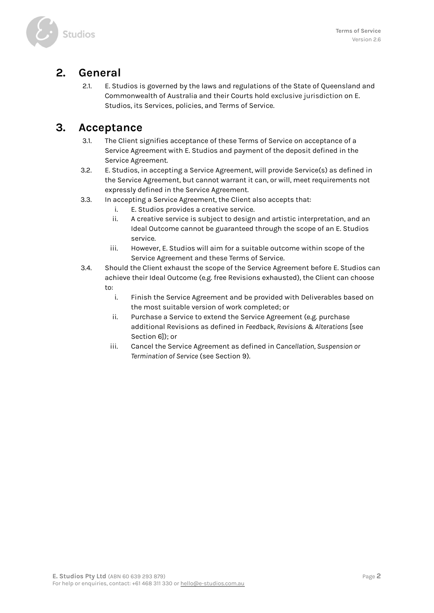

#### **2. General**

2.1. E. Studios is governed by the laws and regulations of the State of Queensland and Commonwealth of Australia and their Courts hold exclusive jurisdiction on E. Studios, its Services, policies, and Terms of Service.

### **3. Acceptance**

- 3.1. The Client signifies acceptance of these Terms of Service on acceptance of a Service Agreement with E. Studios and payment of the deposit defined in the Service Agreement.
- 3.2. E. Studios, in accepting a Service Agreement, will provide Service(s) as defined in the Service Agreement, but cannot warrant it can, or will, meet requirements not expressly defined in the Service Agreement.
- 3.3. In accepting a Service Agreement, the Client also accepts that:
	- i. E. Studios provides a creative service.
	- ii. A creative service is subject to design and artistic interpretation, and an Ideal Outcome cannot be guaranteed through the scope of an E. Studios service.
	- iii. However, E. Studios will aim for a suitable outcome within scope of the Service Agreement and these Terms of Service.
- 3.4. Should the Client exhaust the scope of the Service Agreement before E. Studios can achieve their Ideal Outcome (e.g. free Revisions exhausted), the Client can choose to:
	- i. Finish the Service Agreement and be provided with Deliverables based on the most suitable version of work completed; or
	- ii. Purchase a Service to extend the Service Agreement (e.g. purchase additional Revisions as defined in *Feedback, Revisions & Alterations* [see Section 6]); or
	- iii. Cancel the Service Agreement as defined in C*ancellation, Suspension or Termination of Service* (see Section 9).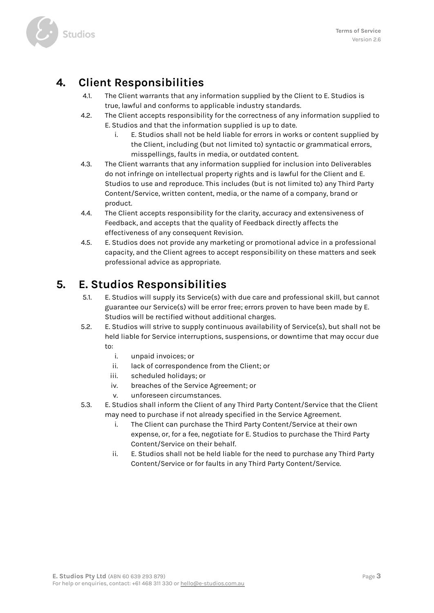

### **4. Client Responsibilities**

- 4.1. The Client warrants that any information supplied by the Client to E. Studios is true, lawful and conforms to applicable industry standards.
- 4.2. The Client accepts responsibility for the correctness of any information supplied to E. Studios and that the information supplied is up to date.
	- i. E. Studios shall not be held liable for errors in works or content supplied by the Client, including (but not limited to) syntactic or grammatical errors, misspellings, faults in media, or outdated content.
- 4.3. The Client warrants that any information supplied for inclusion into Deliverables do not infringe on intellectual property rights and is lawful for the Client and E. Studios to use and reproduce. This includes (but is not limited to) any Third Party Content/Service, written content, media, or the name of a company, brand or product.
- 4.4. The Client accepts responsibility for the clarity, accuracy and extensiveness of Feedback, and accepts that the quality of Feedback directly affects the effectiveness of any consequent Revision.
- 4.5. E. Studios does not provide any marketing or promotional advice in a professional capacity, and the Client agrees to accept responsibility on these matters and seek professional advice as appropriate.

### **5. E. Studios Responsibilities**

- 5.1. E. Studios will supply its Service(s) with due care and professional skill, but cannot guarantee our Service(s) will be error free; errors proven to have been made by E. Studios will be rectified without additional charges.
- 5.2. E. Studios will strive to supply continuous availability of Service(s), but shall not be held liable for Service interruptions, suspensions, or downtime that may occur due to:
	- i. unpaid invoices; or
	- ii. lack of correspondence from the Client; or
	- iii. scheduled holidays; or
	- iv. breaches of the Service Agreement; or
	- v. unforeseen circumstances.
- 5.3. E. Studios shall inform the Client of any Third Party Content/Service that the Client may need to purchase if not already specified in the Service Agreement.
	- i. The Client can purchase the Third Party Content/Service at their own expense, or, for a fee, negotiate for E. Studios to purchase the Third Party Content/Service on their behalf.
	- ii. E. Studios shall not be held liable for the need to purchase any Third Party Content/Service or for faults in any Third Party Content/Service.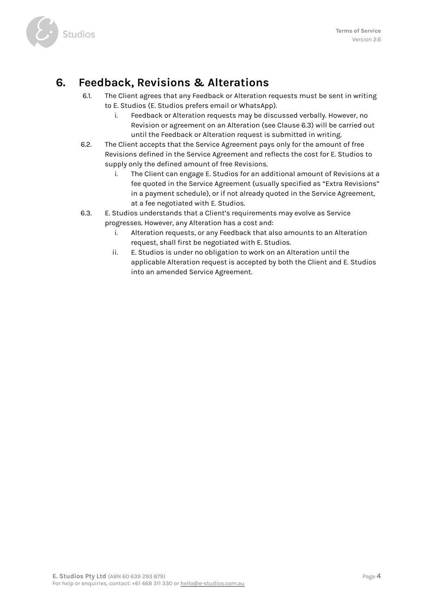

### **6. Feedback, Revisions & Alterations**

- 6.1. The Client agrees that any Feedback or Alteration requests must be sent in writing to E. Studios (E. Studios prefers email or WhatsApp).
	- i. Feedback or Alteration requests may be discussed verbally. However, no Revision or agreement on an Alteration (see Clause 6.3) will be carried out until the Feedback or Alteration request is submitted in writing.
- 6.2. The Client accepts that the Service Agreement pays only for the amount of free Revisions defined in the Service Agreement and reflects the cost for E. Studios to supply only the defined amount of free Revisions.
	- i. The Client can engage E. Studios for an additional amount of Revisions at a fee quoted in the Service Agreement (usually specified as "Extra Revisions" in a payment schedule), or if not already quoted in the Service Agreement, at a fee negotiated with E. Studios.
- 6.3. E. Studios understands that a Client's requirements may evolve as Service progresses. However, any Alteration has a cost and:
	- i. Alteration requests, or any Feedback that also amounts to an Alteration request, shall first be negotiated with E. Studios.
	- ii. E. Studios is under no obligation to work on an Alteration until the applicable Alteration request is accepted by both the Client and E. Studios into an amended Service Agreement.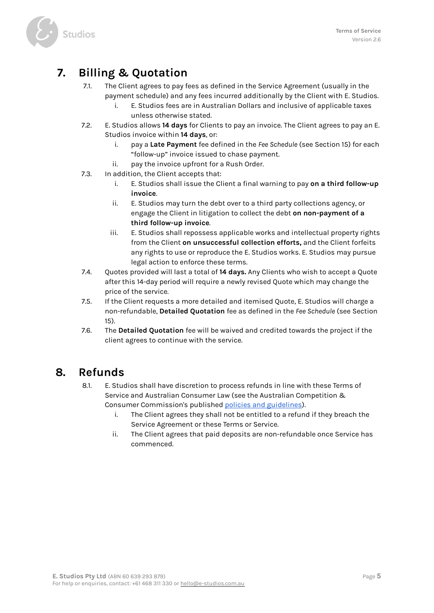

# **7. Billing & Quotation**

- 7.1. The Client agrees to pay fees as defined in the Service Agreement (usually in the payment schedule) and any fees incurred additionally by the Client with E. Studios.
	- i. E. Studios fees are in Australian Dollars and inclusive of applicable taxes unless otherwise stated.
- 7.2. E. Studios allows **14 days** for Clients to pay an invoice. The Client agrees to pay an E. Studios invoice within **14 days**, or:
	- i. pay a **Late Payment** fee defined in the *Fee Schedule* (see Section 15) for each "follow-up" invoice issued to chase payment.
	- ii. pay the invoice upfront for a Rush Order.
- 7.3. In addition, the Client accepts that:
	- i. E. Studios shall issue the Client a final warning to pay **on a third follow-up invoice**.
	- ii. E. Studios may turn the debt over to a third party collections agency, or engage the Client in litigation to collect the debt **on non-payment of a third follow-up invoice**.
	- iii. E. Studios shall repossess applicable works and intellectual property rights from the Client **on unsuccessful collection efforts,** and the Client forfeits any rights to use or reproduce the E. Studios works. E. Studios may pursue legal action to enforce these terms.
- 7.4. Quotes provided will last a total of **14 days.** Any Clients who wish to accept a Quote after this 14-day period will require a newly revised Quote which may change the price of the service.
- 7.5. If the Client requests a more detailed and itemised Quote, E. Studios will charge a non-refundable, **Detailed Quotation** fee as defined in the *Fee Schedule* (see Section 15).
- 7.6. The **Detailed Quotation** fee will be waived and credited towards the project if the client agrees to continue with the service.

#### **8. Refunds**

- 8.1. E. Studios shall have discretion to process refunds in line with these Terms of Service and Australian Consumer Law (see the Australian Competition & Consumer Commission's published policies and [guidelines\)](https://www.accc.gov.au/consumers/consumer-rights-guarantees).
	- i. The Client agrees they shall not be entitled to a refund if they breach the Service Agreement or these Terms or Service.
	- ii. The Client agrees that paid deposits are non-refundable once Service has commenced.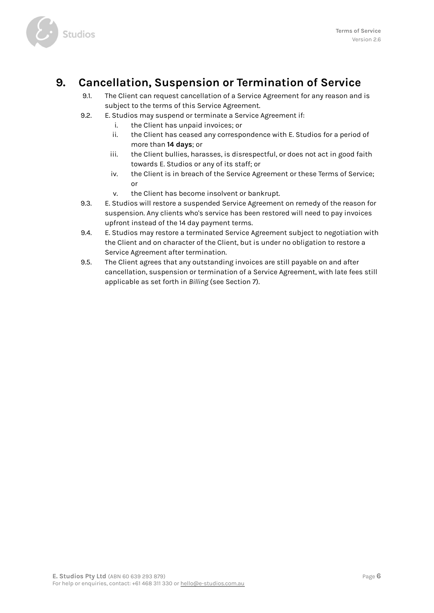

### **9. Cancellation, Suspension or Termination of Service**

- 9.1. The Client can request cancellation of a Service Agreement for any reason and is subject to the terms of this Service Agreement.
- 9.2. E. Studios may suspend or terminate a Service Agreement if:
	- i. the Client has unpaid invoices; or
	- ii. the Client has ceased any correspondence with E. Studios for a period of more than **14 days**; or
	- iii. the Client bullies, harasses, is disrespectful, or does not act in good faith towards E. Studios or any of its staff; or
	- iv. the Client is in breach of the Service Agreement or these Terms of Service; or
	- v. the Client has become insolvent or bankrupt.
- 9.3. E. Studios will restore a suspended Service Agreement on remedy of the reason for suspension. Any clients who's service has been restored will need to pay invoices upfront instead of the 14 day payment terms.
- 9.4. E. Studios may restore a terminated Service Agreement subject to negotiation with the Client and on character of the Client, but is under no obligation to restore a Service Agreement after termination.
- 9.5. The Client agrees that any outstanding invoices are still payable on and after cancellation, suspension or termination of a Service Agreement, with late fees still applicable as set forth in *Billing* (see Section 7).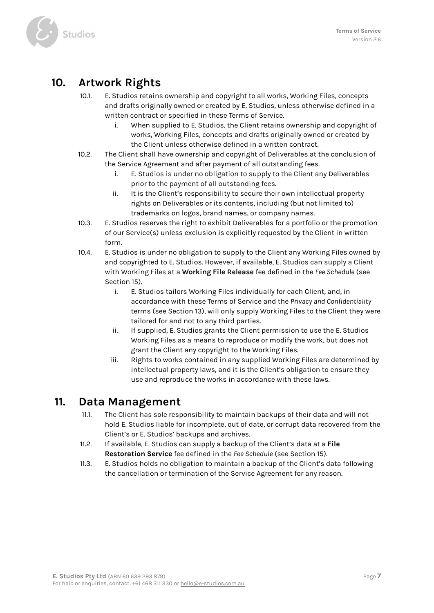

### **10. Artwork Rights**

- 10.1. E. Studios retains ownership and copyright to all works, Working Files, concepts and drafts originally owned or created by E. Studios, unless otherwise defined in a written contract or specified in these Terms of Service.
	- i. When supplied to E. Studios, the Client retains ownership and copyright of works, Working Files, concepts and drafts originally owned or created by the Client unless otherwise defined in a written contract.
- 10.2. The Client shall have ownership and copyright of Deliverables at the conclusion of the Service Agreement and after payment of all outstanding fees.
	- i. E. Studios is under no obligation to supply to the Client any Deliverables prior to the payment of all outstanding fees.
	- ii. It is the Client's responsibility to secure their own intellectual property rights on Deliverables or its contents, including (but not limited to) trademarks on logos, brand names, or company names.
- 10.3. E. Studios reserves the right to exhibit Deliverables for a portfolio or the promotion of our Service(s) unless exclusion is explicitly requested by the Client in written form.
- 10.4. E. Studios is under no obligation to supply to the Client any Working Files owned by and copyrighted to E. Studios. However, if available, E. Studios can supply a Client with Working Files at a **Working File Release** fee defined in the *Fee Schedule* (see Section 15).
	- i. E. Studios tailors Working Files individually for each Client, and, in accordance with these Terms of Service and the *Privacy and Confidentiality* terms (see Section 13), will only supply Working Files to the Client they were tailored for and not to any third parties.
	- ii. If supplied, E. Studios grants the Client permission to use the E. Studios Working Files as a means to reproduce or modify the work, but does not grant the Client any copyright to the Working Files.
	- iii. Rights to works contained in any supplied Working Files are determined by intellectual property laws, and it is the Client's obligation to ensure they use and reproduce the works in accordance with these laws.

#### **11. Data Management**

- 11.1. The Client has sole responsibility to maintain backups of their data and will not hold E. Studios liable for incomplete, out of date, or corrupt data recovered from the Client's or E. Studios' backups and archives.
- 11.2. If available, E. Studios can supply a backup of the Client's data at a **File Restoration Service** fee defined in the *Fee Schedule* (see Section 15).
- 11.3. E. Studios holds no obligation to maintain a backup of the Client's data following the cancellation or termination of the Service Agreement for any reason.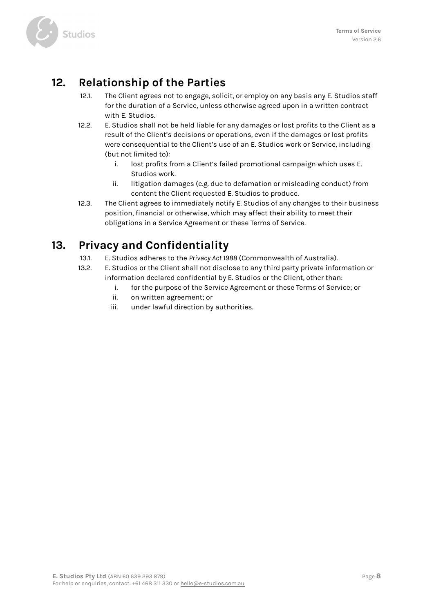

### **12. Relationship of the Parties**

- 12.1. The Client agrees not to engage, solicit, or employ on any basis any E. Studios staff for the duration of a Service, unless otherwise agreed upon in a written contract with E. Studios.
- 12.2. E. Studios shall not be held liable for any damages or lost profits to the Client as a result of the Client's decisions or operations, even if the damages or lost profits were consequential to the Client's use of an E. Studios work or Service, including (but not limited to):
	- i. lost profits from a Client's failed promotional campaign which uses E. Studios work.
	- ii. litigation damages (e.g. due to defamation or misleading conduct) from content the Client requested E. Studios to produce.
- 12.3. The Client agrees to immediately notify E. Studios of any changes to their business position, financial or otherwise, which may affect their ability to meet their obligations in a Service Agreement or these Terms of Service.

# **13. Privacy and Confidentiality**

- 13.1. E. Studios adheres to the *Privacy Act 1988* (Commonwealth of Australia).
- 13.2. E. Studios or the Client shall not disclose to any third party private information or information declared confidential by E. Studios or the Client, other than:
	- i. for the purpose of the Service Agreement or these Terms of Service; or
	- ii. on written agreement; or
	- iii. under lawful direction by authorities.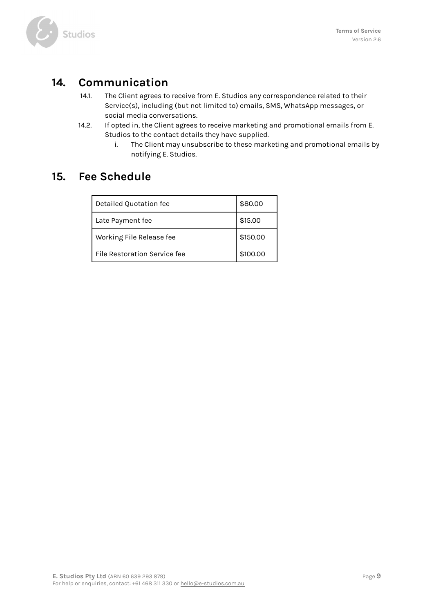

### **14. Communication**

- 14.1. The Client agrees to receive from E. Studios any correspondence related to their Service(s), including (but not limited to) emails, SMS, WhatsApp messages, or social media conversations.
- 14.2. If opted in, the Client agrees to receive marketing and promotional emails from E. Studios to the contact details they have supplied.
	- i. The Client may unsubscribe to these marketing and promotional emails by notifying E. Studios.

#### **15. Fee Schedule**

| Detailed Quotation fee       | \$80.00  |
|------------------------------|----------|
| Late Payment fee             | \$15.00  |
| Working File Release fee     | \$150.00 |
| File Restoration Service fee | \$100.00 |